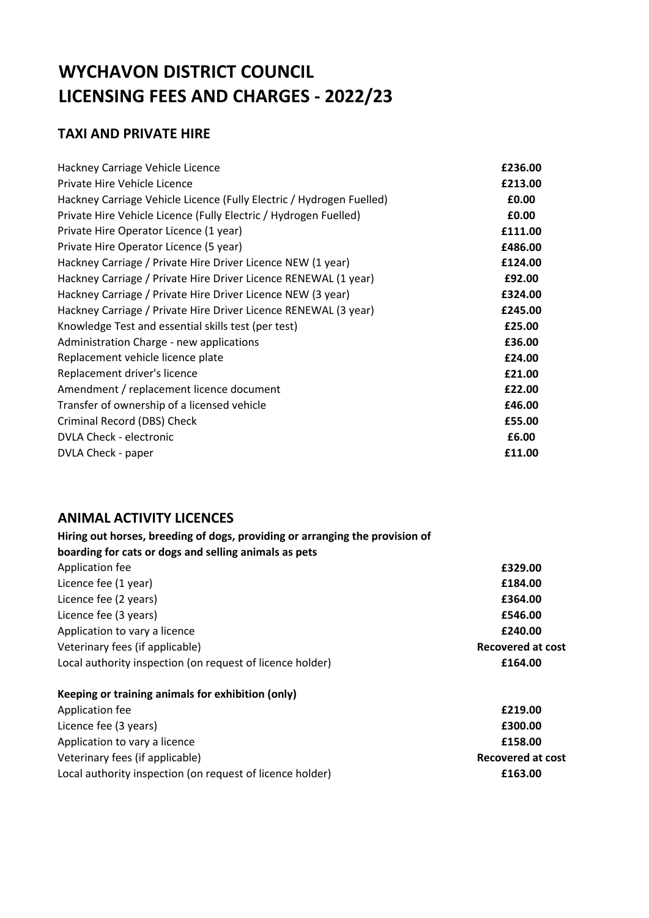# **WYCHAVON DISTRICT COUNCIL LICENSING FEES AND CHARGES - 2022/23**

### **TAXI AND PRIVATE HIRE**

| Hackney Carriage Vehicle Licence                                     | £236.00 |
|----------------------------------------------------------------------|---------|
| Private Hire Vehicle Licence                                         | £213.00 |
| Hackney Carriage Vehicle Licence (Fully Electric / Hydrogen Fuelled) | £0.00   |
| Private Hire Vehicle Licence (Fully Electric / Hydrogen Fuelled)     | £0.00   |
| Private Hire Operator Licence (1 year)                               | £111.00 |
| Private Hire Operator Licence (5 year)                               | £486.00 |
| Hackney Carriage / Private Hire Driver Licence NEW (1 year)          | £124.00 |
| Hackney Carriage / Private Hire Driver Licence RENEWAL (1 year)      | £92.00  |
| Hackney Carriage / Private Hire Driver Licence NEW (3 year)          | £324.00 |
| Hackney Carriage / Private Hire Driver Licence RENEWAL (3 year)      | £245.00 |
| Knowledge Test and essential skills test (per test)                  | £25.00  |
| Administration Charge - new applications                             | £36.00  |
| Replacement vehicle licence plate                                    | £24.00  |
| Replacement driver's licence                                         | £21.00  |
| Amendment / replacement licence document                             | £22.00  |
| Transfer of ownership of a licensed vehicle                          | £46.00  |
| Criminal Record (DBS) Check                                          | £55.00  |
| <b>DVLA Check - electronic</b>                                       | £6.00   |
| DVLA Check - paper                                                   | £11.00  |

#### **ANIMAL ACTIVITY LICENCES**

| Hiring out horses, breeding of dogs, providing or arranging the provision of |                          |
|------------------------------------------------------------------------------|--------------------------|
| boarding for cats or dogs and selling animals as pets                        |                          |
| Application fee                                                              | £329.00                  |
| Licence fee (1 year)                                                         | £184.00                  |
| Licence fee (2 years)                                                        | £364.00                  |
| Licence fee (3 years)                                                        | £546.00                  |
| Application to vary a licence                                                | £240.00                  |
| Veterinary fees (if applicable)                                              | <b>Recovered at cost</b> |
| Local authority inspection (on request of licence holder)                    | £164.00                  |
| Keeping or training animals for exhibition (only)                            |                          |
| Application fee                                                              | £219.00                  |
| Licance fee (2 years)                                                        | הה ההבת                  |

Licence fee (3 years) **£300.00** Application to vary a licence **E158.00** Veterinary fees (if applicable) **Recovered at cost** Local authority inspection (on request of licence holder) **£163.00 £163.00**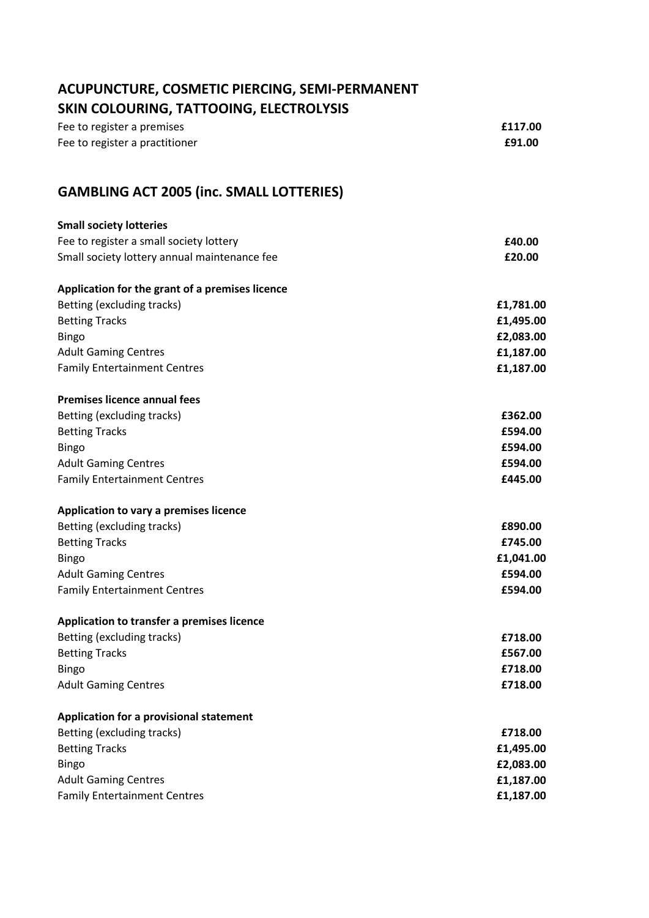| ACUPUNCTURE, COSMETIC PIERCING, SEMI-PERMANENT<br>SKIN COLOURING, TATTOOING, ELECTROLYSIS |           |
|-------------------------------------------------------------------------------------------|-----------|
| Fee to register a premises                                                                | £117.00   |
| Fee to register a practitioner                                                            | £91.00    |
| <b>GAMBLING ACT 2005 (inc. SMALL LOTTERIES)</b>                                           |           |
| <b>Small society lotteries</b>                                                            |           |
| Fee to register a small society lottery                                                   | £40.00    |
| Small society lottery annual maintenance fee                                              | £20.00    |
| Application for the grant of a premises licence                                           |           |
| Betting (excluding tracks)                                                                | £1,781.00 |
| <b>Betting Tracks</b>                                                                     | £1,495.00 |
| <b>Bingo</b>                                                                              | £2,083.00 |
| <b>Adult Gaming Centres</b>                                                               | £1,187.00 |
| <b>Family Entertainment Centres</b>                                                       | £1,187.00 |
| <b>Premises licence annual fees</b>                                                       |           |
| Betting (excluding tracks)                                                                | £362.00   |
| <b>Betting Tracks</b>                                                                     | £594.00   |
| <b>Bingo</b>                                                                              | £594.00   |
| <b>Adult Gaming Centres</b>                                                               | £594.00   |
| <b>Family Entertainment Centres</b>                                                       | £445.00   |
| Application to vary a premises licence                                                    |           |
| Betting (excluding tracks)                                                                | £890.00   |
| <b>Betting Tracks</b>                                                                     | £745.00   |
| <b>Bingo</b>                                                                              | £1,041.00 |
| <b>Adult Gaming Centres</b>                                                               | £594.00   |
| <b>Family Entertainment Centres</b>                                                       | £594.00   |
| Application to transfer a premises licence                                                |           |
| Betting (excluding tracks)                                                                | £718.00   |
| <b>Betting Tracks</b>                                                                     | £567.00   |
| <b>Bingo</b>                                                                              | £718.00   |
| <b>Adult Gaming Centres</b>                                                               | £718.00   |
| Application for a provisional statement                                                   |           |
| Betting (excluding tracks)                                                                | £718.00   |
| <b>Betting Tracks</b>                                                                     | £1,495.00 |
| <b>Bingo</b>                                                                              | £2,083.00 |
| <b>Adult Gaming Centres</b>                                                               | £1,187.00 |
| <b>Family Entertainment Centres</b>                                                       | £1,187.00 |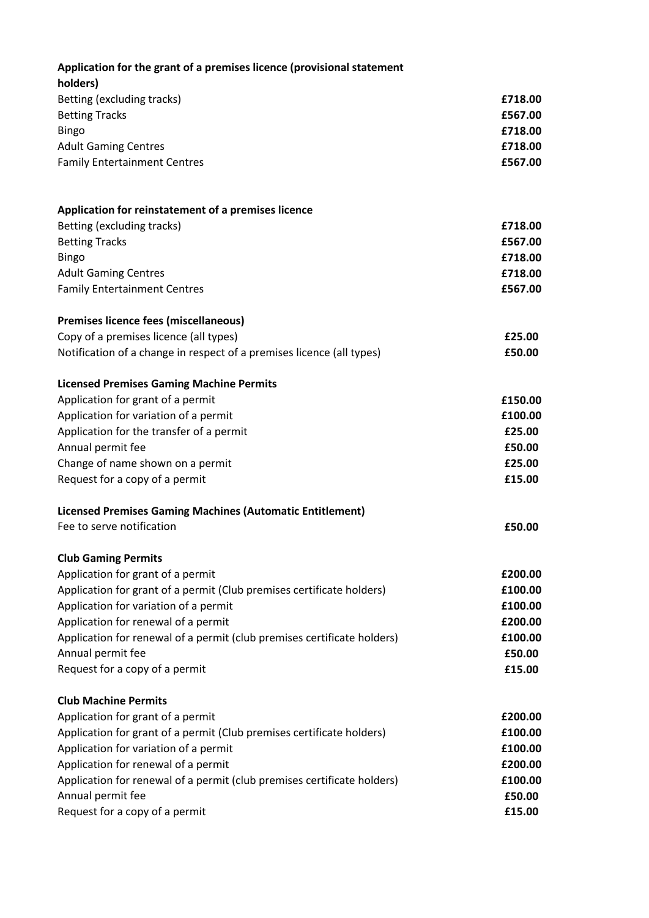| Application for the grant of a premises licence (provisional statement<br>holders) |         |
|------------------------------------------------------------------------------------|---------|
| Betting (excluding tracks)                                                         | £718.00 |
| <b>Betting Tracks</b>                                                              | £567.00 |
| <b>Bingo</b>                                                                       | £718.00 |
| <b>Adult Gaming Centres</b>                                                        | £718.00 |
| <b>Family Entertainment Centres</b>                                                | £567.00 |
| Application for reinstatement of a premises licence                                |         |
| Betting (excluding tracks)                                                         | £718.00 |
| <b>Betting Tracks</b>                                                              | £567.00 |
| <b>Bingo</b>                                                                       | £718.00 |
| <b>Adult Gaming Centres</b>                                                        | £718.00 |
| <b>Family Entertainment Centres</b>                                                | £567.00 |
| Premises licence fees (miscellaneous)                                              |         |
| Copy of a premises licence (all types)                                             | £25.00  |
| Notification of a change in respect of a premises licence (all types)              | £50.00  |
| <b>Licensed Premises Gaming Machine Permits</b>                                    |         |
| Application for grant of a permit                                                  | £150.00 |
| Application for variation of a permit                                              | £100.00 |
| Application for the transfer of a permit                                           | £25.00  |
| Annual permit fee                                                                  | £50.00  |
| Change of name shown on a permit                                                   | £25.00  |
| Request for a copy of a permit                                                     | £15.00  |
| <b>Licensed Premises Gaming Machines (Automatic Entitlement)</b>                   |         |
| Fee to serve notification                                                          | £50.00  |
| <b>Club Gaming Permits</b>                                                         |         |
| Application for grant of a permit                                                  | £200.00 |
| Application for grant of a permit (Club premises certificate holders)              | £100.00 |
| Application for variation of a permit                                              | £100.00 |
| Application for renewal of a permit                                                | £200.00 |
| Application for renewal of a permit (club premises certificate holders)            | £100.00 |
| Annual permit fee                                                                  | £50.00  |
| Request for a copy of a permit                                                     | £15.00  |
| <b>Club Machine Permits</b>                                                        |         |
| Application for grant of a permit                                                  | £200.00 |
| Application for grant of a permit (Club premises certificate holders)              | £100.00 |
| Application for variation of a permit                                              | £100.00 |
| Application for renewal of a permit                                                | £200.00 |
| Application for renewal of a permit (club premises certificate holders)            | £100.00 |
| Annual permit fee                                                                  | £50.00  |
| Request for a copy of a permit                                                     | £15.00  |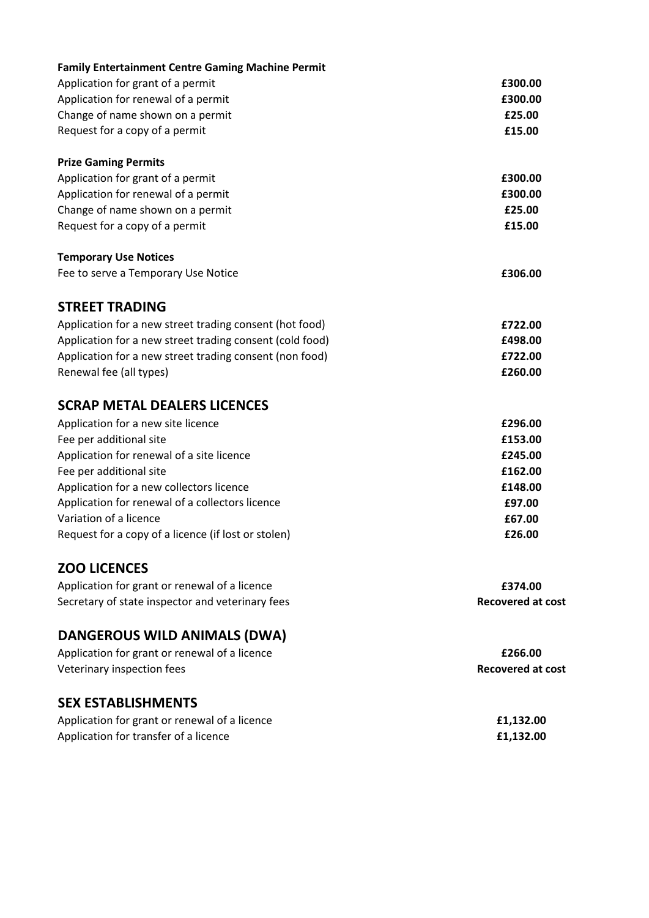| <b>Family Entertainment Centre Gaming Machine Permit</b> |                          |
|----------------------------------------------------------|--------------------------|
| Application for grant of a permit                        | £300.00                  |
| Application for renewal of a permit                      | £300.00                  |
| Change of name shown on a permit                         | £25.00                   |
| Request for a copy of a permit                           | £15.00                   |
| <b>Prize Gaming Permits</b>                              |                          |
| Application for grant of a permit                        | £300.00                  |
| Application for renewal of a permit                      | £300.00                  |
| Change of name shown on a permit                         | £25.00                   |
| Request for a copy of a permit                           | £15.00                   |
| <b>Temporary Use Notices</b>                             |                          |
| Fee to serve a Temporary Use Notice                      | £306.00                  |
| <b>STREET TRADING</b>                                    |                          |
| Application for a new street trading consent (hot food)  | £722.00                  |
| Application for a new street trading consent (cold food) | £498.00                  |
| Application for a new street trading consent (non food)  | £722.00                  |
| Renewal fee (all types)                                  | £260.00                  |
| <b>SCRAP METAL DEALERS LICENCES</b>                      |                          |
| Application for a new site licence                       | £296.00                  |
| Fee per additional site                                  | £153.00                  |
| Application for renewal of a site licence                | £245.00                  |
| Fee per additional site                                  | £162.00                  |
| Application for a new collectors licence                 | £148.00                  |
| Application for renewal of a collectors licence          | £97.00                   |
| Variation of a licence                                   | £67.00                   |
| Request for a copy of a licence (if lost or stolen)      | £26.00                   |
| <b>ZOO LICENCES</b>                                      |                          |
| Application for grant or renewal of a licence            | £374.00                  |
| Secretary of state inspector and veterinary fees         | <b>Recovered at cost</b> |
| DANGEROUS WILD ANIMALS (DWA)                             |                          |
| Application for grant or renewal of a licence            | £266.00                  |
| Veterinary inspection fees                               | <b>Recovered at cost</b> |
| <b>SEX ESTABLISHMENTS</b>                                |                          |
| Application for grant or renewal of a licence            | £1,132.00                |

Application for transfer of a licence **E1,132.00**